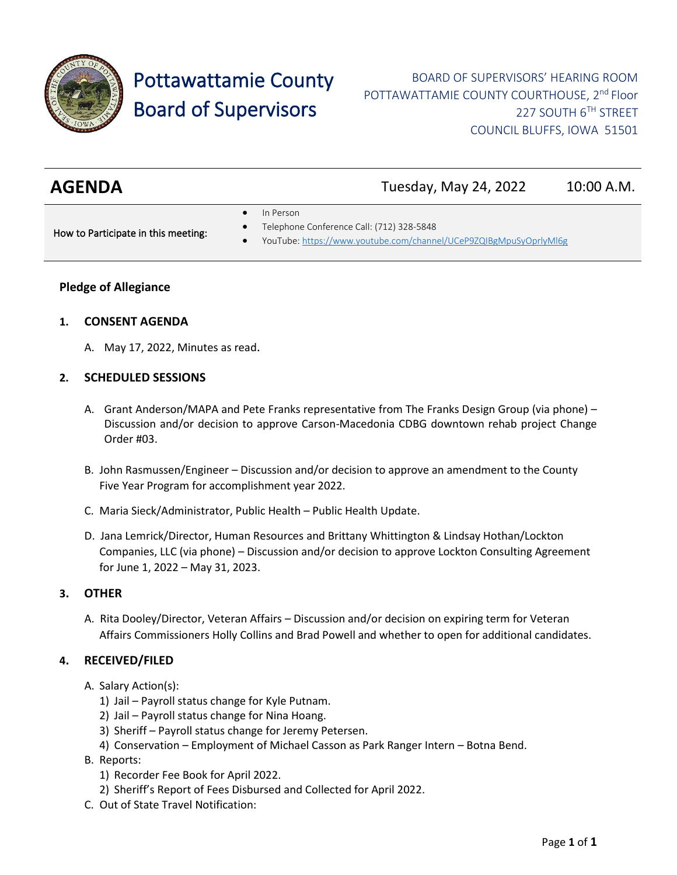

# Pottawattamie County Board of Supervisors

| <b>AGENDA</b> | Tuesday, May 24, 2022 | 10:00 A.M. |
|---------------|-----------------------|------------|
|---------------|-----------------------|------------|

In Person

How to Participate in this meeting:

- Telephone Conference Call: (712) 328-5848
- YouTube[: https://www.youtube.com/channel/UCeP9ZQIBgMpuSyOprlyMl6g](https://www.youtube.com/channel/UCeP9ZQIBgMpuSyOprlyMl6g)

## **Pledge of Allegiance**

#### **1. CONSENT AGENDA**

A. May 17, 2022, Minutes as read.

#### **2. SCHEDULED SESSIONS**

- A. Grant Anderson/MAPA and Pete Franks representative from The Franks Design Group (via phone) Discussion and/or decision to approve Carson-Macedonia CDBG downtown rehab project Change Order #03.
- B. John Rasmussen/Engineer Discussion and/or decision to approve an amendment to the County Five Year Program for accomplishment year 2022.
- C. Maria Sieck/Administrator, Public Health Public Health Update.
- D. Jana Lemrick/Director, Human Resources and Brittany Whittington & Lindsay Hothan/Lockton Companies, LLC (via phone) – Discussion and/or decision to approve Lockton Consulting Agreement for June 1, 2022 – May 31, 2023.

#### **3. OTHER**

A. Rita Dooley/Director, Veteran Affairs – Discussion and/or decision on expiring term for Veteran Affairs Commissioners Holly Collins and Brad Powell and whether to open for additional candidates.

#### **4. RECEIVED/FILED**

- A. Salary Action(s):
	- 1) Jail Payroll status change for Kyle Putnam.
	- 2) Jail Payroll status change for Nina Hoang.
	- 3) Sheriff Payroll status change for Jeremy Petersen.
	- 4) Conservation Employment of Michael Casson as Park Ranger Intern Botna Bend.
- B. Reports:
	- 1) Recorder Fee Book for April 2022.
	- 2) Sheriff's Report of Fees Disbursed and Collected for April 2022.
- C. Out of State Travel Notification: